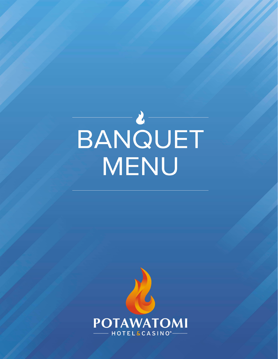# BANQUET

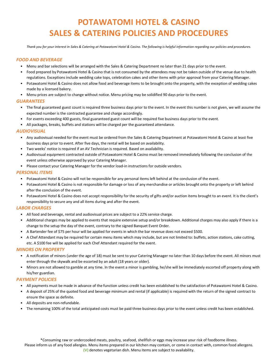# **POTAWATOMI HOTEL & CASINO SALES & CATERING POLICIES AND PROCEDURES**

*Thank you for your interest in Sales & Catering at Potawatomi Hotel & Casino. The following is helpful information regarding our policies and procedures.*

### *FOOD AND BEVERAGE*

- Menu and bar selections will be arranged with the Sales & Catering Department no later than 21 days prior to the event.
- Food prepared by Potawatomi Hotel & Casino that is not consumed by the attendees may not be taken outside of the venue due to health regulations. Exceptions include wedding cake tops, celebration cakes and other items with prior approval from your Catering Manager.
- Potawatomi Hotel & Casino does not allow food and beverage items to be brought onto the property, with the exception of wedding cakes made by a licensed bakery.
- Menu prices are subject to change without notice. Menu pricing may be solidified 90 days prior to the event.

### *GUARANTEES*

- The final guaranteed guest count is required three business days prior to the event. In the event this number is not given, we will assume the expected number is the contracted guarantee and charge accordingly.
- For events exceeding 400 guests, final guaranteed guest count will be required five business days prior to the event.
- All packages, breaks, buffets and stations will be charged per the guaranteed attendance.

### *AUDIOVISUAL*

- Any audiovisual needed for the event must be ordered from the Sales & Catering Department at Potawatomi Hotel & Casino at least five business days prior to event. After five days, the rental will be based on availability.
- Two weeks' notice is required if an AV Technician is required. Based on availability.
- Audiovisual equipment contracted outside of Potawatomi Hotel & Casino must be removed immediately following the conclusion of the event unless otherwise approved by your Catering Manager.
- Please contact your Catering Manager for the vendor load-in instructions for outside vendors.

### *PERSONAL ITEMS*

- Potawatomi Hotel & Casino will not be responsible for any personal items left behind at the conclusion of the event.
- Potawatomi Hotel & Casino is not responsible for damage or loss of any merchandise or articles brought onto the property or left behind after the conclusion of the event.
- Potawatomi Hotel & Casino does not accept responsibility for the security of gifts and/or auction items brought to an event. It is the client's responsibility to secure any and all items during and after the event.

### *LABOR CHARGES*

- All food and beverage, rental and audiovisual prices are subject to a 22% service charge.
- Additional charges may be applied to events that require extensive setup and/or breakdown. Additional charges may also apply if there is a change to the setup the day of the event, contrary to the signed Banquet Event Order.
- A Bartender fee of \$75 per hour will be applied for events in which the bar revenue does not exceed \$500.
- A Chef Attendant may be required for certain menu items which may include, but are not limited to: buffets, action stations, cake cutting, etc. A \$100 fee will be applied for each Chef Attendant required for the event.

### *MINORS ON PROPERTY*

- A notification of minors (under the age of 18) must be sent to your Catering Manager no later than 10 days before the event. All minors must enter through the skywalk and be escorted by an adult (18 years or older).
- Minors are not allowed to gamble at any time. In the event a minor is gambling, he/she will be immediately escorted off property along with his/her guardian.

### *PAYMENT POLICIES*

- All payments must be made in advance of the function unless credit has been established to the satisfaction of Potawatomi Hotel & Casino.
- A deposit of 25% of the quoted food and beverage minimum and rental (if applicable) is required with the return of the signed contract to ensure the space as definite.
- All deposits are non-refundable.
- The remaining 100% of the total anticipated costs must be paid three business days prior to the event unless credit has been established.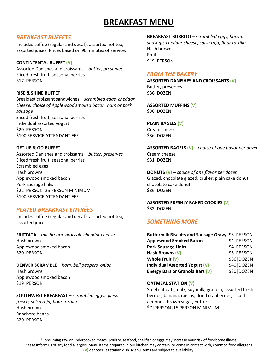# **BREAKFAST MENU**

### *BREAKFAST BUFFETS*

Includes coffee (regular and decaf), assorted hot tea, assorted juices. Prices based on 90 minutes of service.

### **CONTINTENTAL BUFFET (V)**

Assorted Danishes and croissants – *butter, preserves* Sliced fresh fruit, seasonal berries \$17|PERSON

### **RISE & SHINE BUFFET**

Breakfast croissant sandwiches – *scrambled eggs, cheddar cheese, choice of Applewood smoked bacon, ham or pork sausage* Sliced fresh fruit, seasonal berries Individual assorted yogurt \$20|PERSON \$100 SERVICE ATTENDANT FEE

### **GET UP & GO BUFFET**

Assorted Danishes and croissants – *butter, preserves* Sliced fresh fruit, seasonal berries Scrambled eggs Hash browns Applewood smoked bacon Pork sausage links \$22|PERSON|25 PERSON MINIMUM \$100 SERVICE ATTENDANT FEE

### *PLATED BREAKFAST ENTRÉES*

Includes coffee (regular and decaf), assorted hot tea, assorted juices.

**FRITTATA** *– mushroom, broccoli, cheddar cheese* Hash browns Applewood smoked bacon \$20|PERSON

**DENVER SCRAMBLE** *– ham, bell peppers, onion* Hash browns Applewood smoked bacon \$19|PERSON

### **SOUTHWEST BREAKFAST –** *scrambled eggs, queso*

*fresco, salsa roja, flour tortilla* Hash browns Ranchero beans \$20|PERSON

**BREAKFAST BURRITO** – *scrambled eggs, bacon, sausage, cheddar cheese, salsa roja, flour tortilla* Hash browns Fruit \$19|PERSON

### *FROM THE BAKERY*

**ASSORTED DANISHES AND CROISSANTS (V)** Butter, preserves \$36|DOZEN

**ASSORTED MUFFINS (V)** \$36|DOZEN

**PLAIN BAGELS (V)** Cream cheese \$36|DOZEN

**ASSORTED BAGELS (V)** *– choice of one flavor per dozen* Cream cheese \$31|DOZEN

**DONUTS (V)** *– choice of one flavor per dozen* Glazed, chocolate glazed, cruller, plain cake donut, chocolate cake donut \$36|DOZEN

**ASSORTED FRESHLY BAKED COOKIES (V)** \$32|DOZEN

### *SOMETHING MORE*

| Buttermilk Biscuits and Sausage Gravy \$3   PERSON |              |
|----------------------------------------------------|--------------|
| <b>Applewood Smoked Bacon</b>                      | \$4   PERSON |
| <b>Pork Sausage Links</b>                          | \$4   PERSON |
| Hash Browns (V)                                    | \$3   PERSON |
| Whole Fruit (V)                                    | \$36   DOZEN |
| Individual Assorted Yogurt (V)                     | \$40   DOZEN |
| Energy Bars or Granola Bars (V)                    | \$30   DOZEN |

### **OATMEAL STATION (V)**

Steel cut oats, milk, soy milk, granola, assorted fresh berries, banana, raisins, dried cranberries, sliced almonds, brown sugar, butter \$7|PERSON|15 PERSON MINIMUM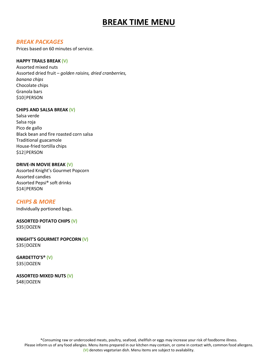# **BREAK TIME MENU**

### *BREAK PACKAGES*

Prices based on 60 minutes of service.

### **HAPPY TRAILS BREAK (V)**

Assorted mixed nuts Assorted dried fruit – *golden raisins, dried cranberries, banana chips* Chocolate chips Granola bars \$10|PERSON

### **CHIPS AND SALSA BREAK (V)**

Salsa verde Salsa roja Pico de gallo Black bean and fire roasted corn salsa Traditional guacamole House-fried tortilla chips \$12|PERSON

### **DRIVE-IN MOVIE BREAK (V)**

Assorted Knight's Gourmet Popcorn Assorted candies Assorted Pepsi® soft drinks \$14|PERSON

### *CHIPS & MORE*

Individually portioned bags.

### **ASSORTED POTATO CHIPS (V)** \$35|DOZEN

**KNIGHT'S GOURMET POPCORN (V)** \$35|DOZEN

**GARDETTO'S® (V)** \$35|DOZEN

### **ASSORTED MIXED NUTS (V)** \$48|DOZEN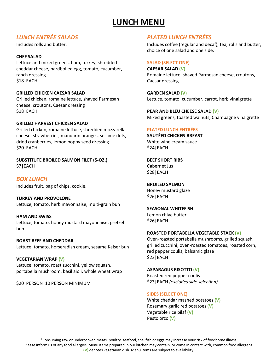# **LUNCH MENU**

### *LUNCH ENTRÉE SALADS*

Includes rolls and butter.

### **CHEF SALAD**

Lettuce and mixed greens, ham, turkey, shredded cheddar cheese, hardboiled egg, tomato, cucumber, ranch dressing \$18|EACH

### **GRILLED CHICKEN CAESAR SALAD**

Grilled chicken, romaine lettuce, shaved Parmesan cheese, croutons, Caesar dressing \$18|EACH

### **GRILLED HARVEST CHICKEN SALAD**

Grilled chicken, romaine lettuce, shredded mozzarella cheese, strawberries, mandarin oranges, sesame dots, dried cranberries, lemon poppy seed dressing \$20|EACH

**SUBSTITUTE BROILED SALMON FILET (5-OZ.)** \$7|EACH

*BOX LUNCH* Includes fruit, bag of chips, cookie.

**TURKEY AND PROVOLONE** Lettuce, tomato, herb mayonnaise, multi-grain bun

**HAM AND SWISS** Lettuce, tomato, honey mustard mayonnaise, pretzel bun

**ROAST BEEF AND CHEDDAR** Lettuce, tomato, horseradish cream, sesame Kaiser bun

**VEGETARIAN WRAP (V)** Lettuce, tomato, roast zucchini, yellow squash, portabella mushroom, basil aioli, whole wheat wrap

\$20|PERSON|10 PERSON MINIMUM

## *PLATED LUNCH ENTRÉES*

Includes coffee (regular and decaf), tea, rolls and butter, choice of one salad and one side.

### **SALAD (SELECT ONE)**

**CAESAR SALAD (V)** Romaine lettuce, shaved Parmesan cheese, croutons, Caesar dressing

**GARDEN SALAD (V)** Lettuce, tomato, cucumber, carrot, herb vinaigrette

**PEAR AND BLEU CHEESE SALAD (V)** Mixed greens, toasted walnuts, Champagne vinaigrette

### **PLATED LUNCH ENTRÉES**

**SAUTÉED CHICKEN BREAST** White wine cream sauce \$24|EACH

**BEEF SHORT RIBS** Cabernet Jus \$28|EACH

**BROILED SALMON** Honey mustard glaze \$26|EACH

**SEASONAL WHITEFISH** Lemon chive butter \$26|EACH

### **ROASTED PORTABELLA VEGETABLE STACK (V)**

Oven-roasted portabella mushrooms, grilled squash, grilled zucchini, oven-roasted tomatoes, roasted corn, red pepper coulis, balsamic glaze \$23|EACH

**ASPARAGUS RISOTTO (V)** Roasted red pepper coulis

\$23|EACH *(excludes side selection)*

### **SIDES (SELECT ONE)**

White cheddar mashed potatoes **(V)** Rosemary garlic red potatoes **(V)** Vegetable rice pilaf **(V)** Pesto orzo **(V)**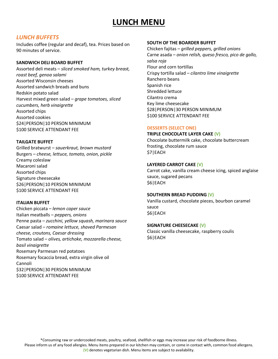# **LUNCH MENU**

### *LUNCH BUFFETS*

Includes coffee (regular and decaf), tea. Prices based on 90 minutes of service.

### **SANDWICH DELI BOARD BUFFET**

Assorted deli meats – *sliced smoked ham, turkey breast, roast beef, genoa salami* Assorted Wisconsin cheeses Assorted sandwich breads and buns Redskin potato salad Harvest mixed green salad – *grape tomatoes, sliced cucumbers, herb vinaigrette* Assorted chips Assorted cookies \$24|PERSON|10 PERSON MINIMUM \$100 SERVICE ATTENDANT FEE

### **TAILGATE BUFFET**

Grilled bratwurst – *sauerkraut, brown mustard* Burgers – *cheese, lettuce, tomato, onion, pickle* Creamy coleslaw Macaroni salad Assorted chips Signature cheesecake \$26|PERSON|10 PERSON MINIMUM \$100 SERVICE ATTENDANT FEE

### **ITALIAN BUFFET**

Chicken piccata – *lemon caper sauce* Italian meatballs – *peppers, onions* Penne pasta – *zucchini, yellow squash, marinara sauce* Caesar salad – *romaine lettuce, shaved Parmesan cheese, croutons, Caesar dressing* Tomato salad – *olives, artichoke, mozzarella cheese, basil vinaigrette*  Rosemary Parmesan red potatoes Rosemary focaccia bread, extra virgin olive oil Cannoli \$32|PERSON|30 PERSON MINIMUM \$100 SERVICE ATTENDANT FEE

### **SOUTH OF THE BOARDER BUFFET**

Chicken fajitas – *grilled peppers, grilled onions* Carne asada – *onion relish, queso fresco, pico de gallo, salsa roja* Flour and corn tortillas Crispy tortilla salad *– cilantro lime vinaigrette* Ranchero beans Spanish rice Shredded lettuce Cilantro crema Key lime cheesecake \$28|PERSON|30 PERSON MINIMUM \$100 SERVICE ATTENDANT FEE

### **DESSERTS (SELECT ONE)**

### **TRIPLE CHOCOLATE LAYER CAKE (V)**

Chocolate buttermilk cake, chocolate buttercream frosting, chocolate rum sauce \$7|EACH

### **LAYERED CARROT CAKE (V)**

Carrot cake, vanilla cream cheese icing, spiced anglaise sauce, sugared pecans \$6|EACH

### **SOUTHERN BREAD PUDDING (V)**

Vanilla custard, chocolate pieces, bourbon caramel sauce \$6|EACH

### **SIGNATURE CHEESECAKE (V)**

Classic vanilla cheesecake, raspberry coulis \$6|EACH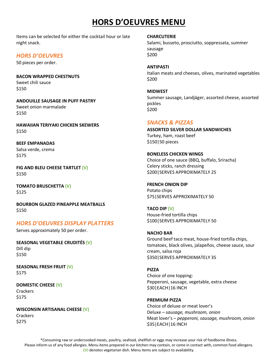# **HORS D'OEUVRES MENU**

Items can be selected for either the cocktail hour or late night snack.

### *HORS D'OEUVRES*

50 pieces per order.

**BACON WRAPPED CHESTNUTS** Sweet chili sauce \$150

**ANDOUILLE SAUSAGE IN PUFF PASTRY** Sweet onion marmalade \$150

**HAWAIIAN TERIYAKI CHICKEN SKEWERS** \$150

**BEEF EMPANADAS** Salsa verde, crema \$175

**FIG AND BLEU CHEESE TARTLET (V)** \$150

**TOMATO BRUSCHETTA (V)** \$125

**BOURBON GLAZED PINEAPPLE MEATBALLS** \$150

### *HORS D'OEUVRES DISPLAY PLATTERS*

Serves approximately 50 per order.

**SEASONAL VEGETABLE CRUDITÉS (V)** Dill dip \$150

**SEASONAL FRESH FRUIT (V)** \$175

**DOMESTIC CHEESE (V) Crackers** 

\$175

**WISCONSIN ARTISANAL CHEESE (V) Crackers** \$275

### **CHARCUTERIE**

Salami, busseto, prosciutto, soppressata, summer sausage \$200

**ANTIPASTI** Italian meats and cheeses, olives, marinated vegetables \$200

**MIDWEST** Summer sausage, Landjäger, assorted cheese, assorted pickles \$200

### *SNACKS & PIZZAS*

**ASSORTED SILVER DOLLAR SANDWICHES** Turkey, ham, roast beef \$150|50 pieces

### **BONELESS CHICKEN WINGS**

Choice of one sauce (BBQ, buffalo, Sriracha) Celery sticks, ranch dressing \$200|SERVES APPROXIMATELY 25

### **FRENCH ONION DIP**

Potato chips \$75|SERVES APPROXIMATELY 50

**TACO DIP (V)**

House-fried tortilla chips \$100|SERVES APPROXIMATELY 50

### **NACHO BAR**

Ground beef taco meat, house-fried tortilla chips, tomatoes, black olives, jalapeños, cheese sauce, sour cream, salsa roja \$350|SERVES APPROXIMATELY 35

### **PIZZA**

Choice of one topping: Pepperoni, sausage, vegetable, extra cheese \$30|EACH|16 INCH

**PREMIUM PIZZA** Choice of deluxe or meat lover's Deluxe – *sausage, mushroom, onion* Meat lover's – *pepperoni, sausage, mushroom, onion* \$35|EACH|16 INCH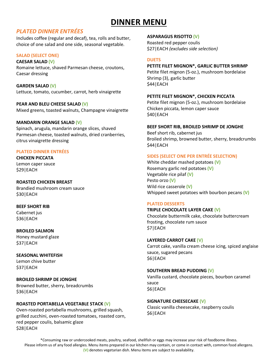# **DINNER MENU**

### *PLATED DINNER ENTRÉES*

Includes coffee (regular and decaf), tea, rolls and butter, choice of one salad and one side, seasonal vegetable.

### **SALAD (SELECT ONE)**

### **CAESAR SALAD (V)**

Romaine lettuce, shaved Parmesan cheese, croutons, Caesar dressing

**GARDEN SALAD (V)** Lettuce, tomato, cucumber, carrot, herb vinaigrette

### **PEAR AND BLEU CHEESE SALAD (V)**

Mixed greens, toasted walnuts, Champagne vinaigrette

### **MANDARIN ORANGE SALAD (V)**

Spinach, arugula, mandarin orange slices, shaved Parmesan cheese, toasted walnuts, dried cranberries, citrus vinaigrette dressing

### **PLATED DINNER ENTRÉES**

**CHICKEN PICCATA** Lemon caper sauce \$29|EACH

### **ROASTED CHICKEN BREAST**

Brandied mushroom cream sauce \$30|EACH

**BEEF SHORT RIB** Cabernet jus \$36|EACH

### **BROILED SALMON**

Honey mustard glaze \$37|EACH

**SEASONAL WHITEFISH** Lemon chive butter \$37|EACH

**BROILED SHRIMP DE JONGHE** Browned butter, sherry, breadcrumbs \$36|EACH

### **ROASTED PORTABELLA VEGETABLE STACK (V)**

Oven-roasted portabella mushrooms, grilled squash, grilled zucchini, oven-roasted tomatoes, roasted corn, red pepper coulis, balsamic glaze \$28|EACH

### **ASPARAGUS RISOTTO (V)**

Roasted red pepper coulis \$27|EACH *(excludes side selection)*

### **DUETS**

### **PETITE FILET MIGNON\*, GARLIC BUTTER SHRIMP** Petite filet mignon (5-oz.), mushroom bordelaise

Shrimp (3), garlic butter \$44|EACH

### **PETITE FILET MIGNON\*, CHICKEN PICCATA**

Petite filet mignon (5-oz.), mushroom bordelaise Chicken piccata, lemon caper sauce \$40|EACH

### **BEEF SHORT RIB, BROILED SHRIMP DE JONGHE**

Beef short rib, cabernet jus Broiled shrimp, browned butter, sherry, breadcrumbs \$44|EACH

### **SIDES (SELECT ONE PER ENTRÉE SELECTION)**

White cheddar mashed potatoes **(V)** Rosemary garlic red potatoes **(V)** Vegetable rice pilaf **(V)** Pesto orzo **(V)** Wild rice casserole **(V)** Whipped sweet potatoes with bourbon pecans **(V)**

### **PLATED DESSERTS**

### **TRIPLE CHOCOLATE LAYER CAKE (V)** Chocolate buttermilk cake, chocolate buttercream frosting, chocolate rum sauce \$7|EACH

### **LAYERED CARROT CAKE (V)**

Carrot cake, vanilla cream cheese icing, spiced anglaise sauce, sugared pecans \$6|EACH

### **SOUTHERN BREAD PUDDING (V)**

Vanilla custard, chocolate pieces, bourbon caramel sauce \$6|EACH

**SIGNATURE CHEESECAKE (V)** Classic vanilla cheesecake, raspberry coulis \$6|EACH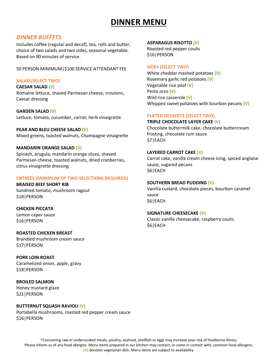# **DINNER MENU**

### *DINNER BUFFETS*

Includes coffee (regular and decaf), tea, rolls and butter, choice of two salads and two sides, seasonal vegetable. Based on 90 minutes of service.

50 PERSON MINIMUM|\$100 SERVICE ATTENDANT FEE

### **SALAD (SELECT TWO)**

**CAESAR SALAD (V)** Romaine lettuce, shaved Parmesan cheese, croutons, Caesar dressing

**GARDEN SALAD (V)** Lettuce, tomato, cucumber, carrot, herb vinaigrette

**PEAR AND BLEU CHEESE SALAD (V)** Mixed greens, toasted walnuts, Champagne vinaigrette

### **MANDARIN ORANGE SALAD (V)**

Spinach, arugula, mandarin orange slices, shaved Parmesan cheese, toasted walnuts, dried cranberries, citrus vinaigrette dressing

### **ENTRÉES (MINIMUM OF TWO SELECTIONS REQUIRED)**

**BRAISED BEEF SHORT RIB** Sundried tomato, mushroom ragout \$18|PERSON

### **CHICKEN PICCATA**

Lemon caper sauce \$16|PERSON

### **ROASTED CHICKEN BREAST**

Brandied mushroom cream sauce \$17|PERSON

**PORK LOIN ROAST** Caramelized onion, apple, gravy \$18|PERSON

**BROILED SALMON** Honey mustard glaze \$21|PERSON

### **BUTTERNUT SQUASH RAVIOLI (V)**

Portabella mushrooms, roasted red pepper cream sauce \$16|PERSON

### **ASPARAGUS RISOTTO (V)**

Roasted red pepper coulis \$16|PERSON

### **SIDES (SELECT TWO)**

White cheddar mashed potatoes **(V)** Rosemary garlic red potatoes **(V)** Vegetable rice pilaf **(V)** Pesto orzo **(V)** Wild rice casserole **(V)** Whipped sweet potatoes with bourbon pecans **(V)**

### **PLATED DESSERTS (SELECT TWO)**

### **TRIPLE CHOCOLATE LAYER CAKE (V)**

Chocolate buttermilk cake, chocolate buttercream frosting, chocolate rum sauce \$7|EACH

### **LAYERED CARROT CAKE (V)**

Carrot cake, vanilla cream cheese icing, spiced anglaise sauce, sugared pecans \$6|EACH

### **SOUTHERN BREAD PUDDING (V)**

Vanilla custard, chocolate pieces, bourbon caramel sauce \$6|EACH

### **SIGNATURE CHEESECAKE (V)**

Classic vanilla cheesecake, raspberry coulis \$6|EACH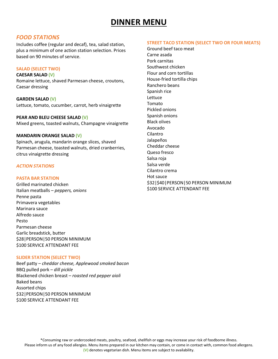# **DINNER MENU**

### *FOOD STATIONS*

Includes coffee (regular and decaf), tea, salad station, plus a minimum of one action station selection. Prices based on 90 minutes of service.

### **SALAD (SELECT TWO)**

**CAESAR SALAD (V)**

Romaine lettuce, shaved Parmesan cheese, croutons, Caesar dressing

**GARDEN SALAD (V)** Lettuce, tomato, cucumber, carrot, herb vinaigrette

### **PEAR AND BLEU CHEESE SALAD (V)**

Mixed greens, toasted walnuts, Champagne vinaigrette

### **MANDARIN ORANGE SALAD (V)**

Spinach, arugula, mandarin orange slices, shaved Parmesan cheese, toasted walnuts, dried cranberries, citrus vinaigrette dressing

### *ACTION STATIONS*

### **PASTA BAR STATION**

Grilled marinated chicken Italian meatballs – *peppers, onions* Penne pasta Primavera vegetables Marinara sauce Alfredo sauce Pesto Parmesan cheese Garlic breadstick, butter \$28|PERSON|50 PERSON MINIMUM \$100 SERVICE ATTENDANT FEE

### **SLIDER STATION (SELECT TWO)**

Beef patty – *cheddar cheese, Applewood smoked bacon* BBQ pulled pork – *dill pickle* Blackened chicken breast – *roasted red pepper aioli* Baked beans Assorted chips \$32|PERSON|50 PERSON MINIMUM \$100 SERVICE ATTENDANT FEE

### **STREET TACO STATION (SELECT TWO OR FOUR MEATS)**

Ground beef taco meat Carne asada Pork carnitas Southwest chicken Flour and corn tortillas House-fried tortilla chips Ranchero beans Spanish rice Lettuce Tomato Pickled onions Spanish onions Black olives Avocado Cilantro Jalapeños Cheddar cheese Queso fresco Salsa roja Salsa verde Cilantro crema Hot sauce \$32|\$40|PERSON|50 PERSON MINIMUM \$100 SERVICE ATTENDANT FEE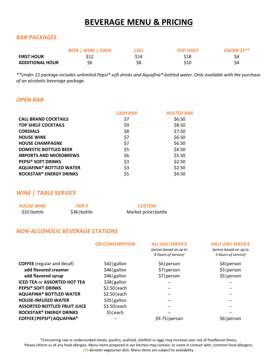# **BEVERAGE MENU & PRICING**

### *BAR PACKAGES*

|                        | <b>BEER   WINE   SODA</b> | CALL | <b>TOP SHELF</b> | UNDER 21 $**$ |
|------------------------|---------------------------|------|------------------|---------------|
| <b>FIRST HOUR</b>      | \$12                      | \$14 | \$18             | S4            |
| <b>ADDITIONAL HOUR</b> | S6                        | \$8  | \$10             | Ś4            |

*\*\*Under 21 package includes unlimited Pepsi® soft drinks and Aquafina® bottled water. Only available with the purchase of an alcoholic beverage package.*

### *OPEN BAR*

|                                           | <b>CASH BAR</b> | <b>HOSTED BAR</b> |
|-------------------------------------------|-----------------|-------------------|
| <b>CALL BRAND COCKTAILS</b>               | \$7             | \$6.50            |
| <b>TOP SHELF COCKTAILS</b>                | \$9             | \$8.50            |
| <b>CORDIALS</b>                           | \$8             | \$7.50            |
| <b>HOUSE WINE</b>                         | \$7             | \$6.50            |
| <b>HOUSE CHAMPAGNE</b>                    | \$7             | \$6.50            |
| <b>DOMESTIC BOTTLED BEER</b>              | \$5             | \$4.50            |
| <b>IMPORTS AND MICROBREWS</b>             | \$6             | \$5.50            |
| <b>PEPSI® SOFT DRINKS</b>                 | \$3             | \$2.50            |
| <b>AQUAFINA® BOTTLED WATER</b>            | \$3             | \$2.50            |
| <b>ROCKSTAR<sup>®</sup> ENERGY DRINKS</b> | \$5             | \$4.50            |

### *WINE | TABLE SERVICE*

| <b>HOUSE WINE</b> | <b>TIER II</b> | <b>CUSTOM</b>         |
|-------------------|----------------|-----------------------|
| \$32 bottle       | \$36 bottle    | Market price   bottle |

### *NON-ALCOHOLIC BEVERAGE STATIONS*

*ON CONSUMPTION ALL-DAY SERVICE*

*(prices based on up to*

| <b>HALF-DAY SERVICE</b> |
|-------------------------|
| (prices based on up to  |

|                                     |               | 8 hours of service) | 5 hours of service) |
|-------------------------------------|---------------|---------------------|---------------------|
| <b>COFFEE</b> (regular and decaf)   | \$42 gallon   | \$6   person        | \$4 person          |
| add flavored creamer                | $$46 $ gallon | \$7   person        | \$5   person        |
| add flavored syrup                  | \$46 gallon   | \$7   person        | \$5   person        |
| <b>ICED TEA or ASSORTED HOT TEA</b> | \$38 gallon   | $- -$               | --                  |
| <b>PEPSI® SOFT DRINKS</b>           | $$2.50$ each  | $- -$               |                     |
| <b>AQUAFINA® BOTTLED WATER</b>      | $$2.50$ each  | $- -$               | --                  |
| <b>HOUSE-INFUSED WATER</b>          | \$35 gallon   |                     | --                  |
| <b>ASSORTED BOTTLED FRUIT JUICE</b> | $$3.50$ each  | --                  | --                  |
| <b>ROCKSTAR® ENERGY DRINKS</b>      | $$5 $ each    | --                  | --                  |
| COFFEE   PEPSI®   AQUAFINA®         |               | \$9.75   person     | \$6   person        |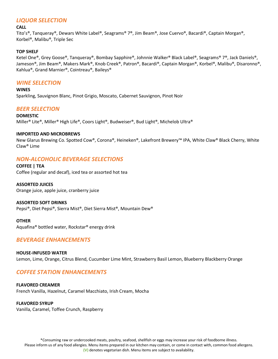### *LIQUOR SELECTION*

### **CALL**

Tito's®, Tanqueray®, Dewars White Label®, Seagrams® 7®, Jim Beam®, Jose Cuervo®, Bacardi®, Captain Morgan®, Korbel®, Malibu®, Triple Sec

### **TOP SHELF**

Ketel One®, Grey Goose®, Tanqueray®, Bombay Sapphire®, Johnnie Walker® Black Label®, Seagrams® 7®, Jack Daniels®, Jameson®, Jim Beam®, Makers Mark®, Knob Creek®, Patron®, Bacardi®, Captain Morgan®, Korbel®, Malibu®, Disaronno®, Kahlua®, Grand Marnier®, Cointreau®, Baileys®

### *WINE SELECTION*

**WINES** Sparkling, Sauvignon Blanc, Pinot Grigio, Moscato, Cabernet Sauvignon, Pinot Noir

### *BEER SELECTION*

**DOMESTIC** Miller® Lite®, Miller® High Life®, Coors Light®, Budweiser®, Bud Light®, Michelob Ultra®

### **IMPORTED AND MICROBREWS**

New Glarus Brewing Co. Spotted Cow®, Corona®, Heineken®, Lakefront Brewery™ IPA, White Claw® Black Cherry, White Claw® Lime

### *NON-ALCOHOLIC BEVERAGE SELECTIONS*

**COFFEE | TEA** Coffee (regular and decaf), iced tea or assorted hot tea

**ASSORTED JUICES**  Orange juice, apple juice, cranberry juice

### **ASSORTED SOFT DRINKS**

Pepsi®, Diet Pepsi®, Sierra Mist®, Diet Sierra Mist®, Mountain Dew®

**OTHER**

Aquafina® bottled water, Rockstar® energy drink

### *BEVERAGE ENHANCEMENTS*

### **HOUSE-INFUSED WATER**

Lemon, Lime, Orange, Citrus Blend, Cucumber Lime Mint, Strawberry Basil Lemon, Blueberry Blackberry Orange

### *COFFEE STATION ENHANCEMENTS*

**FLAVORED CREAMER** French Vanilla, Hazelnut, Caramel Macchiato, Irish Cream, Mocha

### **FLAVORED SYRUP**

Vanilla, Caramel, Toffee Crunch, Raspberry